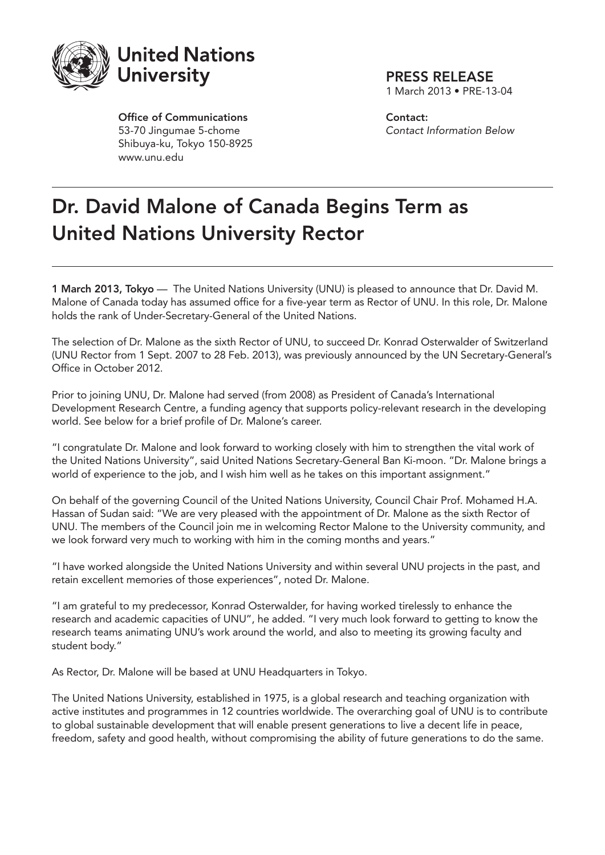

Office of Communications 53-70 Jingumae 5-chome Shibuya-ku, Tokyo 150-8925 www.unu.edu

PRESS RELEASE

1 March 2013 • PRE-13-04

Contact: *Contact Information Below*

## Dr. David Malone of Canada Begins Term as United Nations University Rector

1 March 2013, Tokyo — The United Nations University (UNU) is pleased to announce that Dr. David M. Malone of Canada today has assumed office for a five-year term as Rector of UNU. In this role, Dr. Malone holds the rank of Under-Secretary-General of the United Nations.

The selection of Dr. Malone as the sixth Rector of UNU, to succeed Dr. Konrad Osterwalder of Switzerland (UNU Rector from 1 Sept. 2007 to 28 Feb. 2013), was previously announced by the UN Secretary-General's Office in October 2012.

Prior to joining UNU, Dr. Malone had served (from 2008) as President of Canada's International Development Research Centre, a funding agency that supports policy-relevant research in the developing world. See below for a brief profile of Dr. Malone's career.

"I congratulate Dr. Malone and look forward to working closely with him to strengthen the vital work of the United Nations University", said United Nations Secretary-General Ban Ki-moon. "Dr. Malone brings a world of experience to the job, and I wish him well as he takes on this important assignment."

On behalf of the governing Council of the United Nations University, Council Chair Prof. Mohamed H.A. Hassan of Sudan said: "We are very pleased with the appointment of Dr. Malone as the sixth Rector of UNU. The members of the Council join me in welcoming Rector Malone to the University community, and we look forward very much to working with him in the coming months and years."

"I have worked alongside the United Nations University and within several UNU projects in the past, and retain excellent memories of those experiences", noted Dr. Malone.

"I am grateful to my predecessor, Konrad Osterwalder, for having worked tirelessly to enhance the research and academic capacities of UNU", he added. "I very much look forward to getting to know the research teams animating UNU's work around the world, and also to meeting its growing faculty and student body."

As Rector, Dr. Malone will be based at UNU Headquarters in Tokyo.

The United Nations University, established in 1975, is a global research and teaching organization with active institutes and programmes in 12 countries worldwide. The overarching goal of UNU is to contribute to global sustainable development that will enable present generations to live a decent life in peace, freedom, safety and good health, without compromising the ability of future generations to do the same.